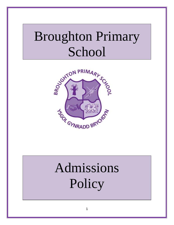## Broughton Primary School



# Admissions **Policy**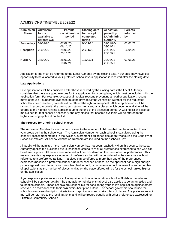#### ADMISSIONS TIMETABLE 2021/22

| <b>Admission</b><br><b>Phase</b> | <b>Admission</b><br>forms<br>available to<br>parents w/c | Parents'<br>consideration<br>period | <b>Closing date</b><br>for receipt of<br>completed<br>forms | <b>Allocation</b><br>period by<br>LA/admitting<br>authority | <b>Parents</b><br>informed<br>by: |
|----------------------------------|----------------------------------------------------------|-------------------------------------|-------------------------------------------------------------|-------------------------------------------------------------|-----------------------------------|
| <b>Secondary</b>                 | 07/09/20                                                 | 07/09/20-<br>06/11/20               | 06/11/20                                                    | 09/11/20-<br>08/01/21                                       | 01/03/21                          |
| <b>Reception</b>                 | 28/09/20                                                 | 28/09/20-<br>20/11/20               | 20/11/20                                                    | $23/11/20 -$<br>26/02/21                                    | 16/04/21                          |
| <b>Nursery</b>                   | 28/09/20                                                 | 28/09/20-<br>19/02/21               | 19/02/21                                                    | $22/02/21 -$<br>25/03/21                                    | 07/05/21                          |

Application forms must be returned to the Local Authority by the closing date. Your child may have less opportunity to be allocated to your preferred school if your application is received after the closing date.

#### **Late Applications**

Late applications will be considered after those received by the closing date if the Local Authority considers that there are good reasons for the application form being late, which must be included with the application form. For example, exceptional medical reasons preventing an earlier application, recent move of house – supporting evidence must be provided.If the Admission Number for the requested school has been reached, parents will be offered the right to an appeal. All late applications will be ranked in accordance with the oversubscription criteria and any places which become available will be offered to the highest ranking applicants up to the end of the allocation period. A waiting list will also be maintained for that school if necessary and any places that become available will be offered to the highest ranking applicant on the list.

#### **The Process for offering school places**

The Admission Number for each school relates to the number of children that can be admitted to each year group during the school year. The Admission Number for each school is calculated using the capacity assessment method in the Welsh Government's guidance document 'Measuring the Capacity of Schools in Wales'. All school Admission Numbers are included on the 'Schools List'.

All pupils will be admitted if the Admission Number has not been reached. When this occurs, the Local Authority applies the published oversubscription criteria to rank all preferences expressed to see who can be offered a place. All preferences received will be considered on the basis of equal preferences. This means parents may express a number of preferences that will be considered in the same way without reference to a preference ranking. If a place can be offered at more than one of the preferences expressed (because a preferred school is undersubscribed or because the applicant has a high enough priority against the criteria for an oversubscribed school, or because a school receives the same number of applications as the number of places available), the place offered will be for the school ranked highest on the application.

If you express a preference for a voluntary aided school or foundation school in Flintshire the relevant school will be sent your details. The timetable for admissions (above) also applies to voluntary aided and foundation schools. These schools are responsible for considering your child's application against others received in accordance with their own oversubscription criteria. The school governors should use the school's own oversubscription criteria to rank applications and make offers of places. Any preferences not met will be returned to the local authority and will be treated equally with other preferences expressed for Flintshire Community Schools.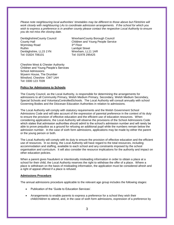*Please note neighbouring local authorities' timetables may be different to those above but Flintshire will work closely with neighbouring LAs to coordinate admission arrangements. If the school for which you*  wish to express a preference is in another county please contact the respective Local Authority to ensure *you do not miss the closing date.*

Wynnstay Road Ruthin Lambpit Street Denbighshire, LL15 1YN Wrexham, LL11 1AR Tel: 01824 706101 Tel: 01978 295425

DenbighshireCounty Council WrexhamCounty Borough Council County Hall Children and Young People Service 3rd Floor

Cheshire West & Chester Authority Children and Young People's Services School Admissions Wyvern House, The Drumber Winsford, Cheshire CW7 1AH Tel: 0300 123 7039

#### **Policy for Admissions to Schools**

The County Council, as the Local Authority, is responsible for determining the arrangements for admissions to all Community Primary, Welsh Medium Primary, Secondary, Welsh Medium Secondary, Special Schools and VoluntaryControlledSchools. The Local Authority will consult annually with school Governing Bodies and the Diocesan Education Authorities in relation to admissions.

The Local Authority will comply with statutory requirements and the Welsh Government School Admissions Code and will take account of the expression of parental preference in the context of its duty to ensure the provision of effective education and the efficient use of education resources. When considering applications, the Local Authority will observe the provisions of the School Admissions Code which states that admission authorities should admit to the school's admission number and will rarely be able to prove prejudice as a ground for refusing an additional pupil while the numbers remain below the admission number. In the case of sixth form admissions, applications may be made by either the parent or the young person or both.

The Local Authority will comply with its duty to ensure the provision of effective education and the efficient use of resources. In so doing, the Local Authority will have regard to the total resources, including accommodation and staffing, available to each school and any constraints imposed by the school organisation and curriculum. It will also consider the resource implications for the authority and impact on other education policies.

When a parent gives fraudulent or intentionally misleading information in order to obtain a place at a school for their child, the Local Authority reserves the right to withdraw the offer of a place. Where a place is withdrawn on the basis of misleading information, the application must be considered afresh and a right of appeal offered if a place is refused.

#### **Admissions Procedure**

The annual admissions procedure applicable to the relevant age group includes the following stages:

- Publication of the 'Guide to Education Services'.
- Arrangements to enable parents to express a preference for a school they wish their child/children to attend, and, in the case of sixth form admissions, expression of a preference by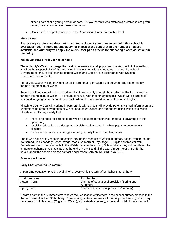either a parent or a young person or both. By law, parents who express a preference are given priority for admission over those who do not.

Consideration of preferences up to the Admission Number for each school.

#### **Please Note**

**Expressing a preference does not guarantee a place at your chosen school if that school is oversubscribed. If more parents apply for places at the school than the number of places available, the Authority will apply the oversubscription criteria for allocating places as set out in the policy.**

#### **Welsh Language Policy for all schools**

The Authority's Welsh Language Policy aims to ensure that all pupils reach a standard of bilingualism. It will be the responsibility of the Authority, in conjunction with the Headteacher and the School Governors, to ensure the teaching of both Welsh and English is in accordance with National Curriculum requirements.

Primary Education will be provided for all children mainly through the medium of English, or mainly through the medium of Welsh.

Secondary Education will be provided for all children mainly through the medium of English, or mainly through the medium of Welsh. To ensure continuity with theprimary schools, Welsh will be taught as a second language in all secondary schools where the main medium of instruction is English.

Flintshire County Council, working in partnership with schools will provide parents with full information and understanding of the advantages of Welsh medium education and the opportunities which exist within Flintshire, explaining clearly that

- there is no need for parents to be Welsh speakers for their children to take advantage of this opportunity
- receiving education in a designated Welsh medium school enables pupils to become fully bilingual
- there are intellectual advantages to being equally fluent in two languages

Pupils who have received their education through the medium of Welsh in primary school transfer to the Welshmedium Secondary School (Ysgol Maes Garmon) at Key Stage 3. Pupils can transfer from English medium primary schools to the Welsh medium Secondary School where they will be offered the immersion scheme that is available at the end of Year 6 and all the way through Year 7. For further details about the scheme please contact Ysgol Maes Garmon Tel: 01352 750678.

#### **Admission Phases**

#### **Early Entitlement to Education**

A part-time education place is available for every child the term after his/her third birthday.

| Children born in   | Entitled to                                  |  |  |
|--------------------|----------------------------------------------|--|--|
| Autumn Term        | 2 terms of educational provision (Spring and |  |  |
|                    | Summer)                                      |  |  |
| <b>Spring Term</b> | 1 term of educational provision (Summer)     |  |  |

Children born in the Summer term receive their education entitlement in the school nursery classes in the Autumn term after their 3<sup>rd</sup> birthday. Parents may state a preference for an approved setting which may be a pre school playgroup (English or Welsh), a private day nursery, a 'network' childminder or school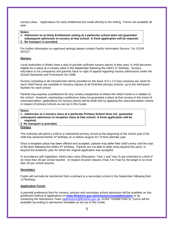nursery class. Applications for early entitlement are made directly to the setting. Forms are available all year.

#### **Notes:**

- **1. Admission to an Early Entitlement setting at a particular school does not guarantee**
- **subsequent admission to nursery at that school. A fresh application will be required.**
- **2. No transport is provided.**

For further information on approved settings please contact:Family Information Service, Tel: 01244 547017.

#### **Nursery**

Local Authorities in Wales have a duty to provide sufficient nursery places in their area. A child becomes eligible for a place at a nursery class in the September following the child's  $3<sup>rd</sup>$  birthday. Nursery education is not compulsory and parents have no right of appeal regarding nursery admissions under the School Standards and Framework Act 1998.

Nursery schooling in all schools/units will be provided on the basis of 5 x 2.5 hour sessions per week for each child.Places are available in Nursery classes at all Flintshire primary schools, up to the Admission Number for each school.

Parents may express a preference for any nursery irrespective of where the child's home is in relation to the school. However, expressing a preference does not guarantee a place at that nursery.In the event of oversubscription, applications for nursery places will be dealt with by applying the oversubscription criteria in respect of primary schools as set out in this Guide.

#### **Notes:**

**1. Admission to a nursery class at a particular Primary School does not guarantee subsequent admission to reception class at that school. A fresh application will be required.** 

**2. No transport is provided.**

#### **Primary**

The Authority will admit a child to a maintained primary school at the beginning of the school year if the child has achieved his/her  $4<sup>th</sup>$  birthday on or before August 31<sup>st</sup> of that calendar year.

Once a reception place has been offered and accepted, parents may defer their child's entry until the start of the term following the child's 5th birthday. Parents are not able to defer entry beyond this point, or beyond the academic year for which the original application was accepted.

In accordance with legislation, infant class sizes (Reception, Year 1 and Year 2) are restricted to a limit of no more than 30 per school teacher. In respect of junior classes (Year 3 to Year 6), the target is no more than 30 per school teacher.

#### **Secondary**

Pupils will normally be transferred from a primary to a secondary school in the September following their 11thbirthday.

#### **Application Forms**

A parental preference form for nursery, primary and secondary school admission will be available on line (preferred method of application) on **[www.flintshire.gov.uk/schools/schooladmissions](http://www.flintshire.gov.uk/schools/schooladmissions)** or by contacting the Admissions Team [\(admissions@flintshire.gov.uk;](mailto:admissions@flintshire.gov.uk) 01352 704068/704073). Forms will be available according to admissions timetable as set out in this Guide.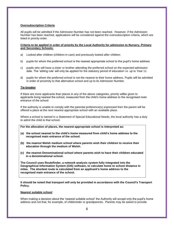#### **Oversubscription Criteria**

All pupils will be admitted if the Admission Number has not been reached. However, if the Admission Number has been reached, applications will be considered against the oversubscription criteria, which are listed in priority order.

#### **Criteria to be applied in order of priority by the Local Authority for admission to Nursery, Primary and Secondary Schools:**

- a) Looked after children (children in care) and previously looked after children
- b) pupils for whom the preferred school is the nearest appropriate school to the pupil's home address
- c) pupils who will have a sister or brother attending the preferred school on the expected admission date. The 'sibling rule' will only be applied for the statutory period of education i.e. up to Year 11.
- d) pupils for whom the preferred school is not the nearest to their home address. Pupils will be admitted in order of proximity to that alternative school and up to its Admission Number.

#### **Tie-breaker**

If there are more applicants than places in any of the above categories, priority willbe given to applicants living nearest the school, measured from the child's home address to the recognised main entrance of the school.

If the authority is unable to comply with the parental preference(s) expressed then the parent will be offered a place at the next nearest appropriate school with an available place.

Where a school is named in a Statement of Special Educational Needs, the local authority has a duty to admit the child to that school.

**For the allocation of places, the nearest appropriate school is interpreted as:**

- **(a) the school nearest to the child's home measured from child's home address to the recognised main entrance of the school.**
- **(b) the nearest Welsh medium school where parents wish their children to receive their education through the medium of Welsh.**
- **(c) the nearest Denominational school where parents wish to have their children educated in a denominational school.**

**The Council uses Routefinder, a network analysis system fully integrated into the Geographical Information System (GIS) software, to calculate home to school distance in miles. The shortest route is calculated from an applicant's home address to the recognised main entrance of the school.**

**It should be noted that transport will only be provided in accordance with the Council's Transport Policy.**

#### **Nearest suitable school**

When making a decision about the 'nearest suitable school' the Authority will accept only the pupil's home address and not that, for example, of childminder or grandparents. Parents may be asked to provide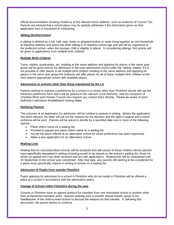official documentation showing residency at the relevant home address, such as evidence of Council Tax. Parents are advised that a school place may be lawfully withdrawn if the information given on their application form is fraudulent or misleading.

#### **Sibling (brother/sister)**

A sibling is defined as a full, half, step, foster or adopted brother or sister living together as one household at thesame address and where the elder sibling is of statutory school age and will still be registered at the preferred school when the younger child is eligible to attend. In considering siblings, first priority will be given to applications from multiple birth children.

#### **Multiple Birth Children**

Twins, triplets, quadruplets, etc, residing at the same address and applying for places in the same year group will be given priority for admission in the main admissions round under the 'sibling' criteria. If it is not possible to offer places to all multiple birth children residing at the same address and applying for places in the same year group,the Authority will offer places for all of those multiple birth children at the next nearest appropriate school with available places.

#### **Admissions to schools other than those maintained by the LA**

Parents wishing to express a preference for a school in a county other than Flintshire should still use the Flintshire preference form and it will be passed to the relevant Local Authority, with the exception of Cheshire West and Chester Council who request you contact them directly. Please be aware of each Authority's admission timetableand closing dates.

#### **Notifying Parents**

The outcome of an application for admission will be notified to parents in writing. Where the application has been refused, the letter will set out the reasons for the decision and the right of appeal and a return proforma will be sent. Parents will be asked to decide by a specified date one or more of the following options:-

- Place child's name on a waiting list
- Proceed to appeal and place child's name on a waiting list
- Accept the place offered at an alternative school for which preference has been expressed
- Make a new application for an alternative school

#### **Waiting Lists**

Waiting lists for oversubscribed schools will be prepared and will consist of those children whose parents have specifically requested in writing (including email) to be placed on the school's waiting list, those for whom an appeal form has been received and any late applications. Waiting lists will be maintained until 30 September in the school year concerned. After that date, any parents still wishing to be considered for a place must specifically request in writing to remain on a waiting list.

#### **Admission of Pupils from outside Flintshire**

Pupils applying for admission to a school in Flintshire who do not reside in Flintshire will be offered a place at a school in accordance with the admissions policy.

#### **Change of School within Flintshire during the year**

Schools in Flintshire have an agreed protocol for transfers from one nominated school to another other than at thenormal transition point. Aparent seeking such a transfer should initially speak to the headteacher of the child'scurrent school to discuss the reasons for that transfer. If, following this discussion, the parent wishes to continue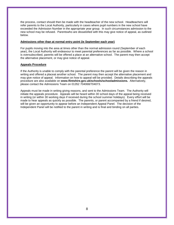the process, contact should then be made with the headteacher of the new school. Headteachers will refer parents to the Local Authority, particularly in cases where pupil numbers in the new school have exceeded the Admission Number in the appropriate year group. In such circumstances admission to the new school may be refused. Parentswho are dissatisfied with this may give notice of appeal, as outlined below.

#### **Admissions other than at normal entry point (ie September each year)**

For pupils moving into the area at times other than the normal admission round (September of each year), the Local Authority will endeavour to meet parental preferences as far as possible. Where a school is oversubscribed, parents will be offered a place at an alternative school. The parent may then accept the alternative placement, or may give notice of appeal.

#### **Appeals Procedure**

If the Authority is unable to comply with the parental preference the parent will be given the reason in writing and offered a placeat another school. The parent may then accept the alternative placement and may give notice of appeal. Information on how to appeal will be provided. Details describing the appeals procedure are also available on **www.flintshire.gov.uk/schools/schooladmissions.** Alternatively, please contact the Admissions Team on 01352 704068/704073.

Appeals must be made in writing giving reasons, and sent to the Admissions Team. The Authority will initiate the appeals procedure. Appeals will be heard within 30 school days of the appeal being received in writing (or within 30 working days if received during the school summer holidays). Every effort will be made to hear appeals as quickly as possible. The parents, or parent accompanied by a friend if desired, will be given an opportunity to appear before an Independent Appeal Panel. The decision of the Independent Panel will be notified to the parent in writing and is final and binding on all parties.